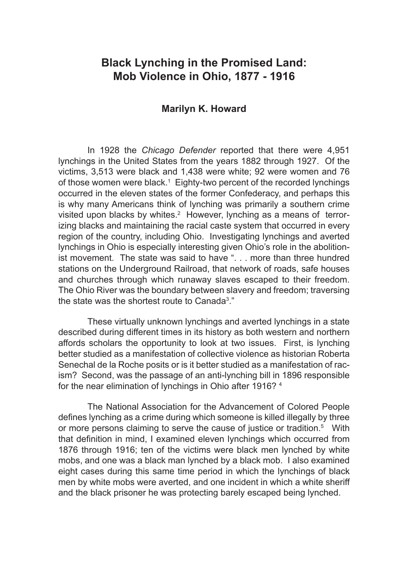# **Black Lynching in the Promised Land: Mob Violence in Ohio, 1877 - 1916**

## **Marilyn K. Howard**

In 1928 the *Chicago Defender* reported that there were 4,951 lynchings in the United States from the years 1882 through 1927. Of the victims, 3,513 were black and 1,438 were white; 92 were women and 76 of those women were black.<sup>1</sup> Eighty-two percent of the recorded lynchings occurred in the eleven states of the former Confederacy, and perhaps this is why many Americans think of lynching was primarily a southern crime visited upon blacks by whites.<sup>2</sup> However, lynching as a means of terrorizing blacks and maintaining the racial caste system that occurred in every region of the country, including Ohio. Investigating lynchings and averted lynchings in Ohio is especially interesting given Ohio's role in the abolitionist movement. The state was said to have ". . . more than three hundred stations on the Underground Railroad, that network of roads, safe houses and churches through which runaway slaves escaped to their freedom. The Ohio River was the boundary between slavery and freedom; traversing the state was the shortest route to Canada<sup>3</sup>."

These virtually unknown lynchings and averted lynchings in a state described during different times in its history as both western and northern affords scholars the opportunity to look at two issues. First, is lynching better studied as a manifestation of collective violence as historian Roberta Senechal de la Roche posits or is it better studied as a manifestation of racism? Second, was the passage of an anti-lynching bill in 1896 responsible for the near elimination of lynchings in Ohio after 1916? 4

The National Association for the Advancement of Colored People defines lynching as a crime during which someone is killed illegally by three or more persons claiming to serve the cause of justice or tradition.<sup>5</sup> With that definition in mind, I examined eleven lynchings which occurred from 1876 through 1916; ten of the victims were black men lynched by white mobs, and one was a black man lynched by a black mob. I also examined eight cases during this same time period in which the lynchings of black men by white mobs were averted, and one incident in which a white sheriff and the black prisoner he was protecting barely escaped being lynched.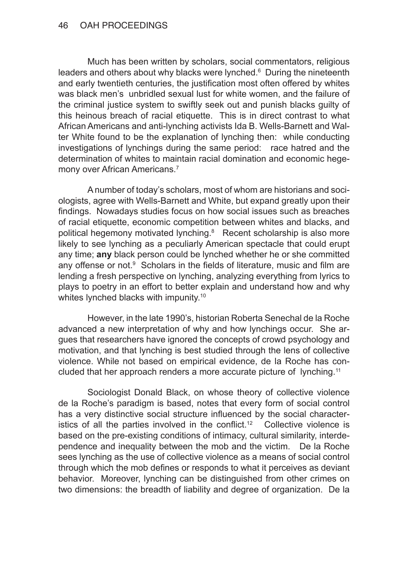Much has been written by scholars, social commentators, religious leaders and others about why blacks were lynched.<sup>6</sup> During the nineteenth and early twentieth centuries, the justification most often offered by whites was black men's unbridled sexual lust for white women, and the failure of the criminal justice system to swiftly seek out and punish blacks guilty of this heinous breach of racial etiquette. This is in direct contrast to what African Americans and anti-lynching activists Ida B. Wells-Barnett and Walter White found to be the explanation of lynching then: while conducting investigations of lynchings during the same period: race hatred and the determination of whites to maintain racial domination and economic hegemony over African Americans.<sup>7</sup>

A number of today's scholars, most of whom are historians and sociologists, agree with Wells-Barnett and White, but expand greatly upon their findings. Nowadays studies focus on how social issues such as breaches of racial etiquette, economic competition between whites and blacks, and political hegemony motivated lynching.<sup>8</sup> Recent scholarship is also more likely to see lynching as a peculiarly American spectacle that could erupt any time; **any** black person could be lynched whether he or she committed any offense or not. $9$  Scholars in the fields of literature, music and film are lending a fresh perspective on lynching, analyzing everything from lyrics to plays to poetry in an effort to better explain and understand how and why whites lynched blacks with impunity.<sup>10</sup>

However, in the late 1990's, historian Roberta Senechal de la Roche advanced a new interpretation of why and how lynchings occur. She argues that researchers have ignored the concepts of crowd psychology and motivation, and that lynching is best studied through the lens of collective violence. While not based on empirical evidence, de la Roche has concluded that her approach renders a more accurate picture of lynching.11

Sociologist Donald Black, on whose theory of collective violence de la Roche's paradigm is based, notes that every form of social control has a very distinctive social structure influenced by the social characteristics of all the parties involved in the conflict.<sup>12</sup> Collective violence is based on the pre-existing conditions of intimacy, cultural similarity, interdependence and inequality between the mob and the victim. De la Roche sees lynching as the use of collective violence as a means of social control through which the mob defines or responds to what it perceives as deviant behavior. Moreover, lynching can be distinguished from other crimes on two dimensions: the breadth of liability and degree of organization. De la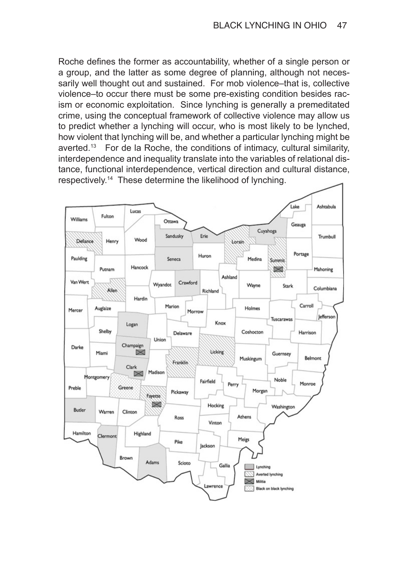Roche defines the former as accountability, whether of a single person or a group, and the latter as some degree of planning, although not necessarily well thought out and sustained. For mob violence–that is, collective violence–to occur there must be some pre-existing condition besides racism or economic exploitation. Since lynching is generally a premeditated crime, using the conceptual framework of collective violence may allow us to predict whether a lynching will occur, who is most likely to be lynched, how violent that lynching will be, and whether a particular lynching might be averted.<sup>13</sup> For de la Roche, the conditions of intimacy, cultural similarity, interdependence and inequality translate into the variables of relational distance, functional interdependence, vertical direction and cultural distance, respectively.14 These determine the likelihood of lynching.

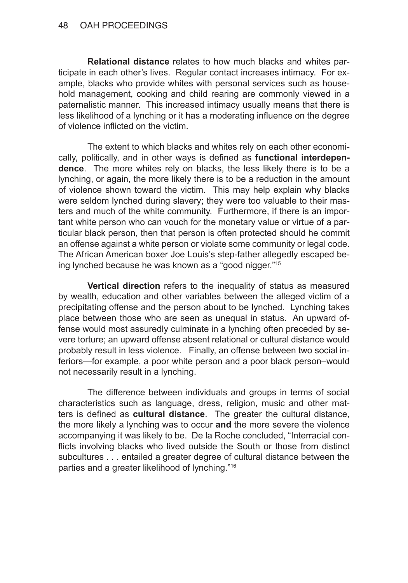**Relational distance** relates to how much blacks and whites participate in each other's lives. Regular contact increases intimacy. For example, blacks who provide whites with personal services such as household management, cooking and child rearing are commonly viewed in a paternalistic manner. This increased intimacy usually means that there is less likelihood of a lynching or it has a moderating influence on the degree of violence inflicted on the victim.

The extent to which blacks and whites rely on each other economically, politically, and in other ways is defined as **functional interdependence**. The more whites rely on blacks, the less likely there is to be a lynching, or again, the more likely there is to be a reduction in the amount of violence shown toward the victim. This may help explain why blacks were seldom lynched during slavery; they were too valuable to their masters and much of the white community. Furthermore, if there is an important white person who can vouch for the monetary value or virtue of a particular black person, then that person is often protected should he commit an offense against a white person or violate some community or legal code. The African American boxer Joe Louis's step-father allegedly escaped being lynched because he was known as a "good nigger."15

**Vertical direction** refers to the inequality of status as measured by wealth, education and other variables between the alleged victim of a precipitating offense and the person about to be lynched. Lynching takes place between those who are seen as unequal in status. An upward offense would most assuredly culminate in a lynching often preceded by severe torture; an upward offense absent relational or cultural distance would probably result in less violence. Finally, an offense between two social inferiors—for example, a poor white person and a poor black person–would not necessarily result in a lynching.

The difference between individuals and groups in terms of social characteristics such as language, dress, religion, music and other matters is defined as **cultural distance**. The greater the cultural distance, the more likely a lynching was to occur **and** the more severe the violence accompanying it was likely to be. De la Roche concluded, "Interracial conflicts involving blacks who lived outside the South or those from distinct subcultures . . . entailed a greater degree of cultural distance between the parties and a greater likelihood of lynching."16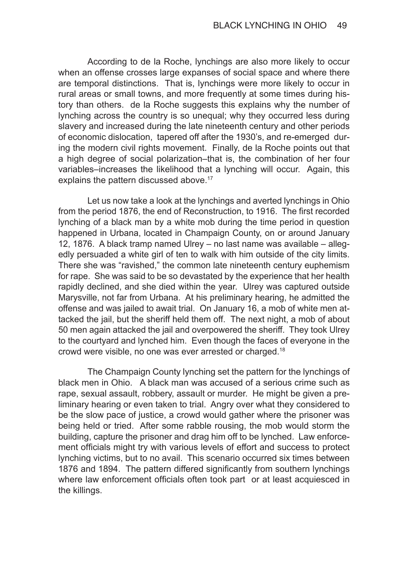According to de la Roche, lynchings are also more likely to occur when an offense crosses large expanses of social space and where there are temporal distinctions. That is, lynchings were more likely to occur in rural areas or small towns, and more frequently at some times during history than others. de la Roche suggests this explains why the number of lynching across the country is so unequal; why they occurred less during slavery and increased during the late nineteenth century and other periods of economic dislocation, tapered off after the 1930's, and re-emerged during the modern civil rights movement. Finally, de la Roche points out that a high degree of social polarization–that is, the combination of her four variables–increases the likelihood that a lynching will occur. Again, this explains the pattern discussed above.<sup>17</sup>

Let us now take a look at the lynchings and averted lynchings in Ohio from the period 1876, the end of Reconstruction, to 1916. The first recorded lynching of a black man by a white mob during the time period in question happened in Urbana, located in Champaign County, on or around January 12, 1876. A black tramp named Ulrey – no last name was available – allegedly persuaded a white girl of ten to walk with him outside of the city limits. There she was "ravished," the common late nineteenth century euphemism for rape. She was said to be so devastated by the experience that her health rapidly declined, and she died within the year. Ulrey was captured outside Marysville, not far from Urbana. At his preliminary hearing, he admitted the offense and was jailed to await trial. On January 16, a mob of white men attacked the jail, but the sheriff held them off. The next night, a mob of about 50 men again attacked the jail and overpowered the sheriff. They took Ulrey to the courtyard and lynched him. Even though the faces of everyone in the crowd were visible, no one was ever arrested or charged.18

The Champaign County lynching set the pattern for the lynchings of black men in Ohio. A black man was accused of a serious crime such as rape, sexual assault, robbery, assault or murder. He might be given a preliminary hearing or even taken to trial. Angry over what they considered to be the slow pace of justice, a crowd would gather where the prisoner was being held or tried. After some rabble rousing, the mob would storm the building, capture the prisoner and drag him off to be lynched. Law enforcement officials might try with various levels of effort and success to protect lynching victims, but to no avail. This scenario occurred six times between 1876 and 1894. The pattern differed significantly from southern lynchings where law enforcement officials often took part or at least acquiesced in the killings.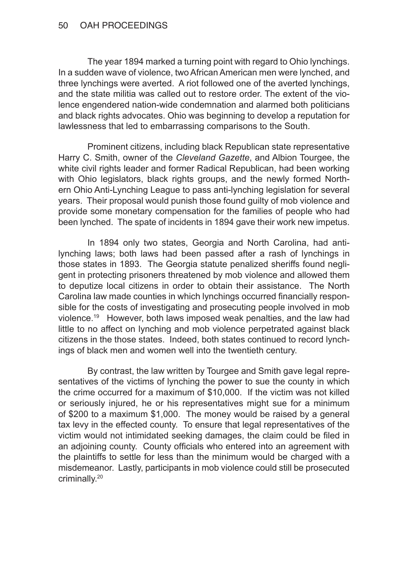The year 1894 marked a turning point with regard to Ohio lynchings. In a sudden wave of violence, two African American men were lynched, and three lynchings were averted. A riot followed one of the averted lynchings, and the state militia was called out to restore order. The extent of the violence engendered nation-wide condemnation and alarmed both politicians and black rights advocates. Ohio was beginning to develop a reputation for lawlessness that led to embarrassing comparisons to the South.

Prominent citizens, including black Republican state representative Harry C. Smith, owner of the *Cleveland Gazette*, and Albion Tourgee, the white civil rights leader and former Radical Republican, had been working with Ohio legislators, black rights groups, and the newly formed Northern Ohio Anti-Lynching League to pass anti-lynching legislation for several years. Their proposal would punish those found guilty of mob violence and provide some monetary compensation for the families of people who had been lynched. The spate of incidents in 1894 gave their work new impetus.

In 1894 only two states, Georgia and North Carolina, had antilynching laws; both laws had been passed after a rash of lynchings in those states in 1893. The Georgia statute penalized sheriffs found negligent in protecting prisoners threatened by mob violence and allowed them to deputize local citizens in order to obtain their assistance. The North Carolina law made counties in which lynchings occurred financially responsible for the costs of investigating and prosecuting people involved in mob violence.19 However, both laws imposed weak penalties, and the law had little to no affect on lynching and mob violence perpetrated against black citizens in the those states. Indeed, both states continued to record lynchings of black men and women well into the twentieth century.

By contrast, the law written by Tourgee and Smith gave legal representatives of the victims of lynching the power to sue the county in which the crime occurred for a maximum of \$10,000. If the victim was not killed or seriously injured, he or his representatives might sue for a minimum of \$200 to a maximum \$1,000. The money would be raised by a general tax levy in the effected county. To ensure that legal representatives of the victim would not intimidated seeking damages, the claim could be filed in an adjoining county. County officials who entered into an agreement with the plaintiffs to settle for less than the minimum would be charged with a misdemeanor. Lastly, participants in mob violence could still be prosecuted criminally.20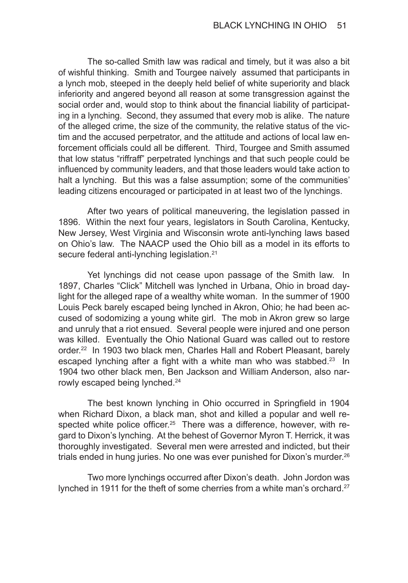The so-called Smith law was radical and timely, but it was also a bit of wishful thinking. Smith and Tourgee naively assumed that participants in a lynch mob, steeped in the deeply held belief of white superiority and black inferiority and angered beyond all reason at some transgression against the social order and, would stop to think about the financial liability of participating in a lynching. Second, they assumed that every mob is alike. The nature of the alleged crime, the size of the community, the relative status of the victim and the accused perpetrator, and the attitude and actions of local law enforcement officials could all be different. Third, Tourgee and Smith assumed that low status "riffraff" perpetrated lynchings and that such people could be influenced by community leaders, and that those leaders would take action to halt a lynching. But this was a false assumption; some of the communities' leading citizens encouraged or participated in at least two of the lynchings.

After two years of political maneuvering, the legislation passed in 1896. Within the next four years, legislators in South Carolina, Kentucky, New Jersey, West Virginia and Wisconsin wrote anti-lynching laws based on Ohio's law. The NAACP used the Ohio bill as a model in its efforts to secure federal anti-lynching legislation.<sup>21</sup>

Yet lynchings did not cease upon passage of the Smith law. In 1897, Charles "Click" Mitchell was lynched in Urbana, Ohio in broad daylight for the alleged rape of a wealthy white woman. In the summer of 1900 Louis Peck barely escaped being lynched in Akron, Ohio; he had been accused of sodomizing a young white girl. The mob in Akron grew so large and unruly that a riot ensued. Several people were injured and one person was killed. Eventually the Ohio National Guard was called out to restore order.<sup>22</sup> In 1903 two black men, Charles Hall and Robert Pleasant, barely escaped lynching after a fight with a white man who was stabbed.<sup>23</sup> In 1904 two other black men, Ben Jackson and William Anderson, also narrowly escaped being lynched.<sup>24</sup>

The best known lynching in Ohio occurred in Springfield in 1904 when Richard Dixon, a black man, shot and killed a popular and well respected white police officer.<sup>25</sup> There was a difference, however, with regard to Dixon's lynching. At the behest of Governor Myron T. Herrick, it was thoroughly investigated. Several men were arrested and indicted, but their trials ended in hung juries. No one was ever punished for Dixon's murder.<sup>26</sup>

Two more lynchings occurred after Dixon's death. John Jordon was lynched in 1911 for the theft of some cherries from a white man's orchard.<sup>27</sup>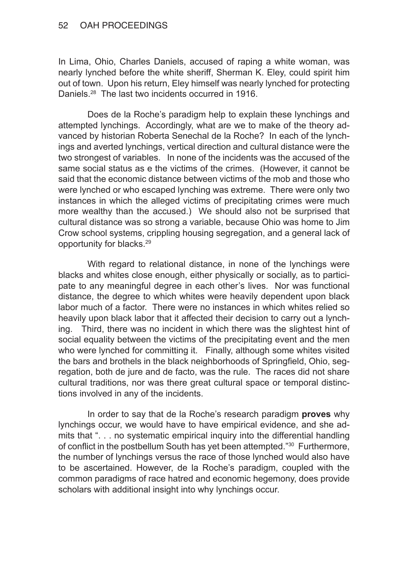In Lima, Ohio, Charles Daniels, accused of raping a white woman, was nearly lynched before the white sheriff, Sherman K. Eley, could spirit him out of town. Upon his return, Eley himself was nearly lynched for protecting Daniels.28 The last two incidents occurred in 1916.

Does de la Roche's paradigm help to explain these lynchings and attempted lynchings. Accordingly, what are we to make of the theory advanced by historian Roberta Senechal de la Roche? In each of the lynchings and averted lynchings, vertical direction and cultural distance were the two strongest of variables. In none of the incidents was the accused of the same social status as e the victims of the crimes. (However, it cannot be said that the economic distance between victims of the mob and those who were lynched or who escaped lynching was extreme. There were only two instances in which the alleged victims of precipitating crimes were much more wealthy than the accused.) We should also not be surprised that cultural distance was so strong a variable, because Ohio was home to Jim Crow school systems, crippling housing segregation, and a general lack of opportunity for blacks.29

With regard to relational distance, in none of the lynchings were blacks and whites close enough, either physically or socially, as to participate to any meaningful degree in each other's lives. Nor was functional distance, the degree to which whites were heavily dependent upon black labor much of a factor. There were no instances in which whites relied so heavily upon black labor that it affected their decision to carry out a lynching. Third, there was no incident in which there was the slightest hint of social equality between the victims of the precipitating event and the men who were lynched for committing it. Finally, although some whites visited the bars and brothels in the black neighborhoods of Springfield, Ohio, segregation, both de jure and de facto, was the rule. The races did not share cultural traditions, nor was there great cultural space or temporal distinctions involved in any of the incidents.

In order to say that de la Roche's research paradigm **proves** why lynchings occur, we would have to have empirical evidence, and she admits that ". . . no systematic empirical inquiry into the differential handling of conflict in the postbellum South has yet been attempted."<sup>30</sup> Furthermore, the number of lynchings versus the race of those lynched would also have to be ascertained. However, de la Roche's paradigm, coupled with the common paradigms of race hatred and economic hegemony, does provide scholars with additional insight into why lynchings occur.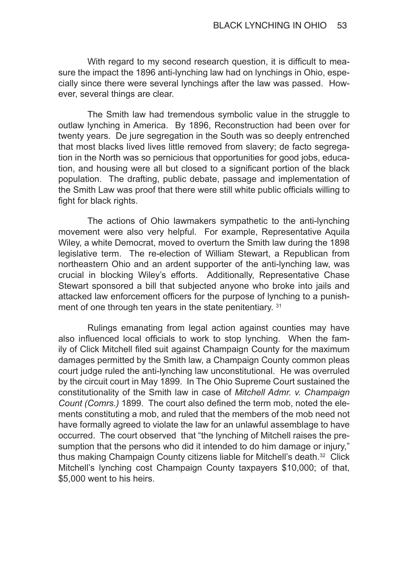With regard to my second research question, it is difficult to measure the impact the 1896 anti-lynching law had on lynchings in Ohio, especially since there were several lynchings after the law was passed. However, several things are clear.

The Smith law had tremendous symbolic value in the struggle to outlaw lynching in America. By 1896, Reconstruction had been over for twenty years. De jure segregation in the South was so deeply entrenched that most blacks lived lives little removed from slavery; de facto segregation in the North was so pernicious that opportunities for good jobs, education, and housing were all but closed to a significant portion of the black population. The drafting, public debate, passage and implementation of the Smith Law was proof that there were still white public officials willing to fight for black rights.

The actions of Ohio lawmakers sympathetic to the anti-lynching movement were also very helpful. For example, Representative Aquila Wiley, a white Democrat, moved to overturn the Smith law during the 1898 legislative term. The re-election of William Stewart, a Republican from northeastern Ohio and an ardent supporter of the anti-lynching law, was crucial in blocking Wiley's efforts. Additionally, Representative Chase Stewart sponsored a bill that subjected anyone who broke into jails and attacked law enforcement officers for the purpose of lynching to a punishment of one through ten years in the state penitentiary. 31

Rulings emanating from legal action against counties may have also influenced local officials to work to stop lynching. When the family of Click Mitchell filed suit against Champaign County for the maximum damages permitted by the Smith law, a Champaign County common pleas court judge ruled the anti-lynching law unconstitutional. He was overruled by the circuit court in May 1899. In The Ohio Supreme Court sustained the constitutionality of the Smith law in case of *Mitchell Admr. v. Champaign Count (Comrs.)* 1899. The court also defined the term mob, noted the elements constituting a mob, and ruled that the members of the mob need not have formally agreed to violate the law for an unlawful assemblage to have occurred. The court observed that "the lynching of Mitchell raises the presumption that the persons who did it intended to do him damage or injury," thus making Champaign County citizens liable for Mitchell's death.32 Click Mitchell's lynching cost Champaign County taxpayers \$10,000; of that, \$5,000 went to his heirs.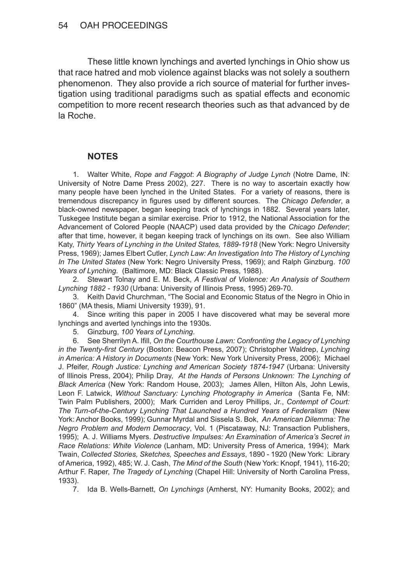These little known lynchings and averted lynchings in Ohio show us that race hatred and mob violence against blacks was not solely a southern phenomenon. They also provide a rich source of material for further investigation using traditional paradigms such as spatial effects and economic competition to more recent research theories such as that advanced by de la Roche.

## **NOTES**

1. Walter White, *Rope and Faggot*: *A Biography of Judge Lynch* (Notre Dame, IN: University of Notre Dame Press 2002), 227. There is no way to ascertain exactly how many people have been lynched in the United States. For a variety of reasons, there is tremendous discrepancy in figures used by different sources. The *Chicago Defender*, a black-owned newspaper, began keeping track of lynchings in 1882. Several years later, Tuskegee Institute began a similar exercise. Prior to 1912, the National Association for the Advancement of Colored People (NAACP) used data provided by the *Chicago Defender*; after that time, however, it began keeping track of lynchings on its own. See also William Katy, *Thirty Years of Lynching in the United States, 1889-1918* (New York: Negro University Press, 1969); James Elbert Cutler, *Lynch Law: An Investigation Into The History of Lynching In The United States* (New York: Negro University Press, 1969); and Ralph Ginzburg. *100 Years of Lynching*. (Baltimore, MD: Black Classic Press, 1988).

2. Stewart Tolnay and E. M. Beck, *A Festival of Violence: An Analysis of Southern Lynching 1882 - 1930* (Urbana: University of Illinois Press, 1995) 269-70.

3. Keith David Churchman, "The Social and Economic Status of the Negro in Ohio in 1860" (MA thesis, Miami University 1939), 91.

4. Since writing this paper in 2005 I have discovered what may be several more lynchings and averted lynchings into the 1930s.

5. Ginzburg, *100 Years of Lynching*.

6. See Sherrilyn A. Ifill, *On the Courthouse Lawn: Confronting the Legacy of Lynching in the Twenty-first Century* (Boston: Beacon Press, 2007); Christopher Waldrep, *Lynching in America: A History in Documents* (New York: New York University Press, 2006); Michael J. Pfeifer, *Rough Justice: Lynching and American Society 1874-1947* (Urbana: University of Illinois Press, 2004); Philip Dray, *At the Hands of Persons Unknown: The Lynching of Black America* (New York: Random House, 2003); James Allen, Hilton Als, John Lewis, Leon F. Latwick, *Without Sanctuary: Lynching Photography in America* (Santa Fe, NM: Twin Palm Publishers, 2000); Mark Curriden and Leroy Phillips, Jr., *Contempt of Court: The Turn-of-the-Century Lynching That Launched a Hundred Years of Federalism* (New York: Anchor Books, 1999); Gunnar Myrdal and Sissela S. Bok, *An American Dilemma: The Negro Problem and Modern Democracy*, Vol. 1 (Piscataway, NJ: Transaction Publishers, 1995); A. J. Williams Myers. *Destructive Impulses: An Examination of America's Secret in Race Relations: White Violence* (Lanham, MD: University Press of America, 1994); Mark Twain, *Collected Stories, Sketches, Speeches and Essays*, 1890 - 1920 (New York: Library of America, 1992), 485; W. J. Cash, *The Mind of the South* (New York: Knopf, 1941), 116-20; Arthur F. Raper, *The Tragedy of Lynching* (Chapel Hill: University of North Carolina Press, 1933).

7. Ida B. Wells-Barnett, *On Lynchings* (Amherst, NY: Humanity Books, 2002); and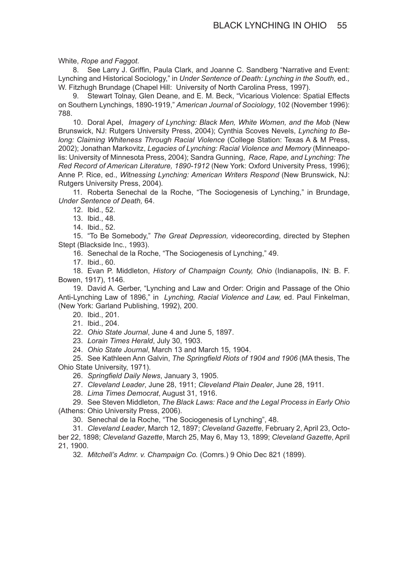White, *Rope and Faggot*.

8. See Larry J. Griffin, Paula Clark, and Joanne C. Sandberg "Narrative and Event: Lynching and Historical Sociology," in *Under Sentence of Death: Lynching in the South,* ed.*,*  W. Fitzhugh Brundage (Chapel Hill: University of North Carolina Press, 1997).

9. Stewart Tolnay, Glen Deane, and E. M. Beck, "Vicarious Violence: Spatial Effects on Southern Lynchings, 1890-1919," *American Journal of Sociology*, 102 (November 1996): 788.

10. Doral Apel, *Imagery of Lynching: Black Men, White Women, and the Mob* (New Brunswick, NJ: Rutgers University Press, 2004); Cynthia Scoves Nevels, *Lynching to Be‑ long: Claiming Whiteness Through Racial Violence* (College Station: Texas A & M Press, 2002); Jonathan Markovitz, *Legacies of Lynching: Racial Violence and Memory* (Minneapolis: University of Minnesota Press, 2004); Sandra Gunning, *Race, Rape, and Lynching: The Red Record of American Literature, 1890-1912* (New York: Oxford University Press, 1996); Anne P. Rice, ed., *Witnessing Lynching: American Writers Respond* (New Brunswick, NJ: Rutgers University Press, 2004)*.* 

11. Roberta Senechal de la Roche, "The Sociogenesis of Lynching," in Brundage, *Under Sentence of Death,* 64.

12. Ibid., 52.

13. Ibid., 48.

14. Ibid., 52.

15. "To Be Somebody," *The Great Depression,* videorecording, directed by Stephen Stept (Blackside Inc., 1993).

16. Senechal de la Roche, "The Sociogenesis of Lynching," 49.

17. Ibid., 60.

18. Evan P. Middleton, *History of Champaign County, Ohio* (Indianapolis, IN: B. F. Bowen, 1917), 1146.

19. David A. Gerber, "Lynching and Law and Order: Origin and Passage of the Ohio Anti-Lynching Law of 1896," in *Lynching, Racial Violence and Law,* ed. Paul Finkelman, (New York: Garland Publishing, 1992), 200.

20. Ibid., 201.

21. Ibid., 204.

22. *Ohio State Journal*, June 4 and June 5, 1897.

23. *Lorain Times Herald*, July 30, 1903.

24. *Ohio State Journal*, March 13 and March 15, 1904.

25. See Kathleen Ann Galvin, *The Springfield Riots of 1904 and 1906* (MA thesis, The Ohio State University, 1971).

26. *Springfield Daily News*, January 3, 1905.

27. *Cleveland Leader*, June 28, 1911; *Cleveland Plain Dealer*, June 28, 1911.

28. *Lima Times Democrat*, August 31, 1916.

29. See Steven Middleton, *The Black Laws: Race and the Legal Process in Early Ohio* (Athens: Ohio University Press, 2006).

30. Senechal de la Roche, "The Sociogenesis of Lynching", 48.

31. *Cleveland Leader*, March 12, 1897; *Cleveland Gazette*, February 2, April 23, October 22, 1898; *Cleveland Gazette*, March 25, May 6, May 13, 1899; *Cleveland Gazette*, April 21, 1900.

32. *Mitchell's Admr. v. Champaign Co.* (Comrs.) 9 Ohio Dec 821 (1899).